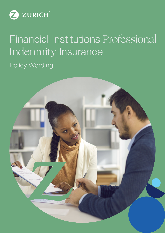

# Financial Institutions Professional Indemnity Insurance

Policy Wording

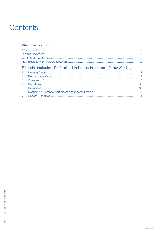# Contents

# **Welcome to Zurich**

# Financial Institutions Professional Indemnity Insurance - Policy Wording

|  | - 24 |
|--|------|
|  |      |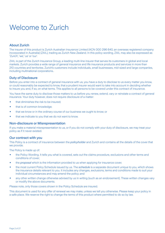# Welcome to Zurich

# About Zurich

The insurer of this product is Zurich Australian Insurance Limited (ACN 000 296 640, an overseas registered company incorporated in Australia) (ZAIL), trading as Zurich New Zealand. In this policy wording, ZAIL may also be expressed as 'Zurich', 'we', 'us' or 'our'.

ZAIL is part of the Zurich Insurance Group, a leading multi-line insurer that serves its customers in global and local markets. Zurich provides a wide range of general insurance and life insurance products and services in more than 210 countries and territories. Zurich's customers include individuals, small businesses, mid-sized and large companies, including multinational corporations..

# Duty of Disclosure

Before you enter into a contract of general insurance with us, you have a duty to disclose to us every matter you know, or could reasonably be expected to know, that a prudent insurer would want to take into account in deciding whether to insure you and, if so, on what terms. This applies to all persons to be covered under this contract of insurance.

You have the same duty to disclose those matters to us before you renew, extend, vary or reinstate a contract of general insurance. Your duty however, does not require disclosure of a matter:

- that diminishes the risk to be insured:
- that is of common knowledge;
- that we know or in the ordinary course of our business we ought to know; or
- that we indicate to you that we do not want to know.

# Non-disclosure or Misrepresentation

If you make a material misrepresentation to us, or if you do not comply with your duty of disclosure, we may treat your policy as if it never existed.

# Our contract with you

This Policy is a contract of insurance between the *policyholder* and Zurich and contains all the details of the cover that we provide.

The Policy is made up of:

- the Policy Wording. It tells you what is covered, sets out the claims procedure, exclusions and other terms and conditions of cover;
- the *proposal* which is the information provided to us when applying for insurance cover;
- the most current Policy Schedule issued by us. The *schedule* is a separate document unique to you, which shows the insurance details relevant to you. It includes any changes, exclusions, terms and conditions made to suit your individual circumstances and may amend the policy; and
- any other written change otherwise advised by us in writing (such as an endorsement). These written changes vary or modify the above documents.

Please note, only those covers shown in the Policy Schedule are insured.

This document is used for any offer of renewal we may make, unless we tell you otherwise. Please keep your policy in a safe place. We reserve the right to change the terms of this product where permitted to do so by law.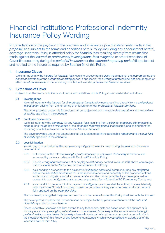# Financial Institutions Professional Indemnity Insurance Policy Wording

In consideration of the payment of the premium, and in reliance upon the statements made in the *proposal*, and subject to the terms and conditions of this Policy (including any endorsement hereto), coverage under this Policy is afforded solely for *financial loss* resulting directly from *claims* first made against the *insured*, or *professional investigations*, *loss mitigation* or other Extensions of Cover first occurring during the *period of insurance* or the *extended reporting period* (if applicable) and notified to the Insurer as required by Section 6.1 of this Policy.

# 1. Insurance Clause

We shall indemnify the *insured* for *financial loss* resulting directly from a *claim* made against the *insured* during the *period of insurance* or the *extended reporting period*, if applicable, for a *wrongful professional act*, occurring on or after the *retroactive date*, in the rendering of or failure to render *professional financial services.*

# 2. Extensions of Cover

Subject to all the terms, conditions, exclusions and limitations of this Policy, cover is extended as follows:

#### 2.1 Investigations

 We shall indemnify the *insured* for all *professional investigation costs* resulting directly from a *professional investigation* arising from the rendering of or failure to render *professional financial services*.

 The cover provided under this Extension shall be subject to both the applicable *retention* and the *sub-limit of liability* specified in the *schedule*.

# 2.2 Employee Dishonesty

 We shall indemnify the *company* for any *financial loss* resulting from a *claim* for *employee dishonesty* first made during the *period of insurance* or the *extended reporting period*, if applicable, and arising from the rendering of or failure to render *professional financial services*.

 The cover provided under this Extension shall be subject to both the applicable *retention* and the *sub-limit of liability* specified in the *schedule*.

#### 2.3 Loss Mitigation

 We will pay to or on behalf of the *company* any *mitigation costs* incurred during the *period of insurance* provided that:

- 2.3.1 notification of the relevant *wrongful professional act* or *employee dishonesty* is made to and accepted by us in accordance with Section 6.1.2 of this Policy:
- 2.3.2 if such *wrongful professional act* or *employee dishonesty* notified in clause 2.3.1 above were to give rise to a *claim*, such *claim* would be covered under this Policy;
- 2.3.3 as a condition precedent to the payment of *mitigation costs* and before incurring any *mitigation costs*, the *insured* demonstrates to us the reasonableness and necessity of the proposed actions and costs to mitigate or avoid a covered *claim*, and the Insurer provides its express prior written consent for such *mitigation costs*, except as provided for in Extension 2.6 'Emergency Costs'; and
- 2.3.4 as a condition precedent to the payment of *mitigation costs*, we shall be entitled to associate fully with the *insured* in relation to the proposed actions before they are undertaken and shall be kept fully updated on the *potential claim*.

The burden of proving that the *potential claim* would be covered under this Policy shall rest with the *insured*.

 The cover provided under this Extension shall be subject to the applicable *retention* and the *sub-limit of liability* specified in the *schedule*.

 Cover under this Extension shall not extend to any fact or circumstance based upon, arising from or in consequence of any *wrongful professional act* or *employee dishonesty* or the same or related *wrongful professional act* or *employee dishonesty* where all or any part of such acts or conduct occurred prior to the inception date of this Policy, or any fact or circumstance which any *insured* had knowledge as of the inception date of this Policy.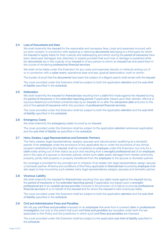#### 2.4 Loss of Documents and Data

 We shall indemnify the *insured* for the reasonable and necessary fees, costs and expenses incurred, with our prior consent, in connection with replacing or restoring *documents* belonging to a third party for which the *insured* is legally liable for their custody and safekeeping and which during the *period of insurance* have been destroyed, damaged, lost, distorted, or erased provided that such loss or damage is sustained while the *documents* are in the custody of an *insured* or of any person to whom an *insured* has entrusted them in the course of rendering *professional financial services*.

We shall not be liable under this Extension for any costs and expenses directly or indirectly arising out of or in connection with a *cyber event*, operational wear and tear, gradual deterioration, moth or vermin.

The burden of proof that the *documents* have been the subject of a diligent search shall remain with the *insured*.

 The cover provided under this Extension shall be subject to both the applicable *retention* and the *sub-limit of liability* specified in the *schedule*.

#### 2.5 Defamation

 We shall indemnify the *insured* for *financial loss* resulting from a *claim* first made against the *insured* during the *period of insurance* or the *extended reporting period*, if applicable, based upon libel, slander, offence or injurious falsehood committed unintentionally by an *insured* on or after the *retroactive date* and prior to the end of the *period of insurance* within the provision of *professional financial services*.

 The cover provided under this Extension shall be subject to both the applicable *retention* and the *sub-limit of liability* specified in the *schedule*.

#### 2.6 Emergency Costs

We shall indemnify the *emergency costs* incurred by an *insured*.

 The cover provided under this Extension shall be subject to the applicable *retention* (whenever applicable) and the *sub-limit of liability* as specified in the *schedule*.

#### 2.7 Heirs, Estates, Legal Representatives and Domestic Partners

 The heirs, estates, legal representatives, assigns, spouses and natural person qualifying as a domestic partner of an *employee* under the provisions of any applicable law or under the provisions of any formal program established by the *insured*, shall be considered an *employee* under this Extension, but only for a *claim* solely arising out of their status as such and resulting from a *wrongful professional act* of an *employee*, and in the case of a spouse or domestic partner, where such *claim* seeks damages from marital community property, jointly held property or property transferred from the *employee* to the spouse or domestic partner.

No coverage is provided for any wrongful act or omission of an estate, heir, legal representative, assign, spouse or domestic partner. All terms and conditions of this Policy applicable to *financial loss* incurred by *employee* shall also apply to loss incurred by such estates, heirs, legal representatives, assigns, spouses and domestic partner.

#### 2.8 Vicarious Liability

 We shall indemnify the *insured* for *financial loss* resulting from any *claim* made against the *insured* during the *period of insurance* or the *extended reporting period*, if applicable, but based upon a *wrongful professional act* of an *outside service provider* involved in the provision of or failure to provide *professional financial services* of or on behalf of the *insured* and for whom the *insured* is held vicariously liable.

 The cover provided under this Extension shall be subject to both the applicable *retention* and the *sub-limit of liability* specified in the *schedule*.

#### 2.9 Civil and Administrative Fines and Penalties

 We will pay *civil fines and penalties* imposed on an *employee* that arise from a covered *claim* or *professional investigation,* but only to the extent that such *civil fines and penalties* are insurable under both the law applicable to this Policy and the jurisdiction in which such *civil fines and penalties* are imposed.

 The cover provided under this Extension shall be subject to the applicable *sub-limit of liability* specified in the *schedule*.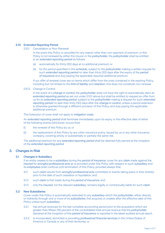#### 2.10 Extended Reporting Period

2.10.1 Cancellation or Non-Renewal

 In the event this Policy is cancelled for any reason other than non-payment of premium, or this Policy is not renewed by either the Insurer or the *policyholder*, the *policyholder* shall be entitled to an *extended reporting period* as follows:

- (a) automatically for thirty (30) days at no additional premium; or
- (b) for the period specified in the *schedule*, subject to the *policyholder* making a written request for such *extended reporting period* no later than thirty (30) days after the expiry of the *period of insurance* and duly paying the applicable required additional premium.

 If our offer of renewal cover are on terms which differ from the ones contained in the expiring Policy, including but not limited to the *limit of liability* and *retention*, this does not constitute non-renewal.

2.10.2 Change in Control

 In the event of a *change in control*, the *policyholder* does not have the right to automatically elect an *extended reporting period* as set out under 2.10.1 above but shall be entitled to request an offer from us for an *extended reporting period*, subject to the *policyholder* making a request for such *extended reporting period* no later than thirty (30) days after the *change in control*, unless a period extension is otherwise granted through a different provision of this Policy, and duly paying the applicable additional premium.

This Extension of cover shall not apply to *mitigation costs.*

 An *extended reporting period* shall terminate immediately upon its expiry or the effective date of either of the following events (whichever occurs first):

- (i) the renewal of this Policy by us; or
- (ii) the replacement of this Policy by any other insurance policy, issued by us or any other insurance company, covering wholly or substantially or partially the same risk.

 The additional premium for any *extended reporting period* shall be deemed fully earned at the inception of the *extended reporting period.*

# 3. Changes in Risk

#### 3.1 Changes in Subsidiary

 If an entity ceases to be a *subsidiary* during the *period of insurance*, cover for any *claim* made against the *insured* for *wrongful professional acts* as is provided under this Policy with respect to such *subsidiary* and its *employees* shall continue until termination of this Policy, provided always that:

- 3.1.1 such *claim* results from *wrongful professional acts* committed or events taking place in their entirety prior to the date of such cessation or liquidation; and
- 3.1.2 such *claim* is first made during the *period of insurance*; and
- 3.1.3 only the *insured*, not the relevant *subsidiary*, remains legally or contractually liable for such *claim*.

#### 3.2 New Subsidiaries

 Cover under this Policy is automatically extended to any *subsidiary* which the *policyholder*, either directly or indirectly through one or more of its *subsidiaries*, first acquires or creates after the effective date of this Policy unless such *subsidiary*:

- 3.2.1 has annual revenues for the last complete accounting period prior to the acquisition which are greater than fifteen (15) percent of the consolidated total annual revenue that the *policyholder* declared at the inception of this *period of insurance* or reported in the latest audited annual report,
- 3.2.2 is incorporated, domiciled or providing *professional financial services* in the United States of America or Canada or any of their territories; or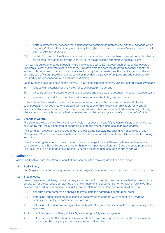- 3.2.3 perform professional services that significantly differ from the *professional financial services* which the *policyholder*, either directly or indirectly through one or more of its *subsidiaries*, provided prior to such acquisition or creation;
- 3.2.4 had during the last five (5) years any loss or claim that that may have been covered under this Policy for an amount exceeding fifty per cent (50%) of the applicable *retention* under this Policy.

 If a newly acquired or created *subsidiary* falls into clause 3.2.1 to 3.2.4 above, such entity will be covered under this Policy, but only for a period of thirty (30) days from the date the *policyholder* either directly or indirectly through one or more of its *subsidiaries* first acquired or created such *subsidiary*, or until the end of the *period of insurance*, whichever occurs first, provided the *policyholder* pays any additional premium required by us in connection with such new *subsidiary*.

We may extend coverage beyond the thirty (30) day period if during the thirty (30) day period, the *policyholder*:

- (a) requests an extension of this Policy for such *subsidiary* to us; and
- (b) gives us sufficient details to permit us to assess and evaluate the potential increase in exposure; and
- (c) agrees to any additional premium and amendments to the Policy required by us.

 Unless otherwise agreed and attached as an endorsement to this Policy, cover under this Policy for such *subsidiary* first acquired or created after the inception of this Policy shall only apply for *wrongful professional acts* or other acts, facts or event covered under this Policy, committed or occurring or taking place after such entity is first acquired or created and whilst remaining a *subsidiary* of the *policyholder*.

#### 3.3 Change in Control

 The cover provided by this Policy shall only apply in respect of *wrongful professional acts* or other events covered by this Policy committed or occurring prior to the effective date of a *change in control*.

 As a condition precedent to coverage under this Policy, the *policyholder* shall give notice to us of such *change in control* as soon as reasonably practicable, however no later than thirty (30) days after the *change in control*.

 Notwithstanding the effect on cover caused by such *change in control* there shall be no entitlement to cancellation of this Policy by any party (other than for non-payment of premium) and the entire premium for this Policy shall be deemed to have been fully earned as of the date of such *change in control*.

#### 4. Definitions

When used in this Policy, its *schedule* and its Endorsements, the following definitions shall apply:

#### 4.1 Bodily injury

 *bodily injury* means illness, injury, sickness, *mental anguish*, emotional distress, disease or death of any person.

#### 4.2 Breach costs

 *breach costs* mean all fees, costs, charges, and expenses incurred by the *company* (whether voluntarily or otherwise) for the purposes of retaining any one or more of an accountant, attorney, lawyer, forensics firm, payment card industry forensics investigator, public relations consultant, and other third party to:

- 4.2.1 conduct computer forensic analysis to investigate the *company's computer system*;
- 4.2.2 determine indemnification obligations under any written contract with respect to a *wrongful professional act* by an *outside service provider*;
- 4.2.3 determine if the *insured* is obligated to notify potentially affected individuals or applicable regulatory agencies;
- 4.2.4 effect compliance with any (i) *GDPR proceeding*, or (ii) *privacy regulation*;
- 4.2.5 notify potentially affected individuals or applicable regulatory agencies and establish new account numbers for the *company's* potentially affected individuals;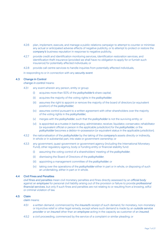- 4.2.6 plan, implement, execute, and manage a public relations campaign to attempt to counter or minimise any actual or anticipated adverse effects of negative publicity, or to attempt to protect or restore the *company's* business reputation in response to negative publicity,
- 4.2.7 provide credit and identification monitoring services, identification restoration services, and identification theft insurance (provided we shall have no obligation to apply for or furnish such insurance) for potentially affected individuals; or
- 4.2.8 provide call centre services to handle inquiries from potentially affected individuals,

in responding to or in connection with any *security event*.

#### 4.3 Change in Control

 *change in control* means:

- 4.3.1 any event wherein any person, entity or group:
	- (i) acquires more than 50% of the *policyholder's* share capital;
	- (ii) acquires the majority of the voting rights in the *policyholder*;
	- (iii) assumes the right to appoint or remove the majority of the board of directors (or equivalent position) of the *policyholder*;
	- (iv) assumes control pursuant to a written agreement with other shareholders over the majority of the voting rights in the *policyholder*;
	- (v) merges with the *policyholder*, such that the *policyholder* is not the surviving entity; or
	- (vi) is appointed as a trustee in bankruptcy, administrator, receiver, liquidator, conservator, rehabilitator (or equivalent official or person in the applicable jurisdiction) for the *policyholder*, or the *policyholder* becomes a debtor-in-possession (or equivalent status in the applicable jurisdiction).
- 4.3.2 the nationalisation of the *policyholder* by the taking of the *company's* assets directly or indirectly, in whole or in substantial part, into state or government ownership; or
- 4.3.3 any government, quasi-government or government agency (including the International Monetary Fund), other regulatory agency, body or funding entity or financial stability fund:
	- (i) assuming the voting control of a shareholders' meeting of the *policyholder*;
	- (ii) dismissing the Board of Directors of the *policyholder*;
	- (iii) appointing a management committee of the *policyholder*; or
	- (iv) taking over the operations of the *policyholder* either in part or in whole, or disposing of such an undertaking, either in part or in whole.

#### 4.4 Civil Fines and Penalties

 *civil fines and penalties* mean civil monetary penalties and fines directly assessed by an *official body* against an *employee* for personal civil liability arising out of the provision or failure to provide *professional financial services*, but only if such fines and penalties are not relating to or resulting from a knowing, wilful or criminal violation of law.

#### 4.5 Claim

 *claim* means:

- 4.5.1 a written demand, commenced by the *insured's* receipt of such demand, for monetary, non-monetary or injunctive relief or other legal remedy, except where such demand is made by an *outside service provider* or an *insured* other than an *employee* acting in the capacity as customer of an *insured*;
- 4.5.2 a civil proceeding, commenced by the service of a complaint or similar pleading; or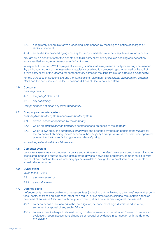- 4.5.3 a regulatory or administrative proceeding, commenced by the filing of a notice of charges or similar document;
- 4.5.4 an arbitration proceeding against any *insured*, or mediation or other dispute resolution process;

 brought by, on behalf of or for the benefit of a third-party client of any *insured* seeking compensation for a specified *wrongful professional act* of an *insured*.

 In respect of Extension 2.2 'Employee Dishonesty', *claim* shall solely mean a civil proceeding commenced by a third-party client of the *insured* or a regulatory or arbitration proceeding commenced on behalf of a third party client of the *insured* for compensatory damages resulting from such *employee dishonesty*.

 For the purposes of Sections 5, 6 and 7 only, *claim* shall also mean *professional investigation*, *potential claim* and the event insured under Extension 2.4 'Loss of Documents and Data'.

#### 4.6 Company

 *company* means:

- 4.6.1 the *policyholder*; and
- 4.6.2 any *subsidiary.*

*Company* does not mean any *investment entity*.

#### 4.7 Company's computer system

 *company's computer system* means a *computer system*:

- 4.7.1 owned, leased or operated by the *company*;
- 4.7.2 which an *outside service provider* operates for and on behalf of the *company*;
- 4.7.3 which is owned by the *company's employees* and operated by them on behalf of the *insured* for the purpose of obtaining remote access to the *company's computer system* or otherwise operated pursuant to the *insured's* 'bring your own device' policy,

to provide *professional financial services*.

#### 4.8 Computer system

 *computer system* means computer hardware and *software* and the *electronic data* stored thereon including associated input and output devices, data storage devices, networking equipment, components, firmware and electronic back up facilities including systems available through the internet, intranets, extranets or virtual private networks.

#### 4.9 Cyber event

 *cyber event* means:

- 4.9.1 a *privacy event*; or
- 4.9.2 a *security event*.

#### 410 Defence costs

 *defence costs* mean reasonable and necessary fees (including but not limited to attorneys' fees and experts' fees), costs, charges and expenses (other than regular or overtime wages, salaries, remuneration, fees or overhead of an *insured*) incurred with our prior consent, after a *claim* is made against the *insured*:

- 4.10.1 by or on behalf of an *insured* in the investigation, defence, discharge, dismissal, adjustment, settlement or appeal of any such *claim*; or
- 4.10.2 by any accredited expert retained through defence lawyers, on behalf of an *insured* to prepare an evaluation, report, assessment, diagnosis or rebuttal of evidence in connection with the defence of a *claim*; or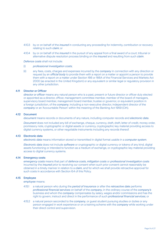- 4.10.3 by or on behalf of the *insured* in conducting any proceeding for indemnity, contribution or recovery relating to such *claim*; or
- 4.10.4 by or on behalf of the *insured* in the pursuit of any appeal from a final award of a court, tribunal or alternative dispute resolution process binding on the *insured* and resulting from such *claim*.

*Defence costs* shall not include:

- (i) *professional investigation costs*;
- (ii) any fees, costs, charges and expenses incurred by the *company* in connection with any direction or request by an *official body* to provide them with a report on a matter or appoint a person to provide them with a report on a matter under Section 166 or 166A of the Financial Services and Markets Act 2000 (as enacted in the United Kingdom) or any equivalent or similar legal or regulatory provision in any other jurisdiction.

#### 4.11 Director or Officer

 *director or officer* means any natural person who is a past, present or future director or officer duly elected or appointed as a director, officer, management committee member, member of the board of managers, supervisory board member, management board member, trustee or governor, or equivalent position in a foreign jurisdiction, of the *company*, including a non-executive director, independent director of the *company* or an 'Accountable Person' within the meaning of the Banking Act 1959 (Cth).

#### 4.12 Document

 *document* means records or documents of any nature, including computer records and *electronic data*.

 *Document* does not included any bill of exchange, cheque, currency, draft, draft, letter of credit, money order, promissory note, cryptographic or digital assets or currency, cryptographic key material providing access to digital currency systems, or other negotiable instruments including any records thereof.

#### 4.13 Electronic data

 *electronic data* means information stored or transmitted in digital format usable in a *computer system*.

 *Electronic data* does not include *software* or cryptographic or digital currency or tokens of any kind, digital assets functioning or intended to function as a medium of exchange, or cryptographic key material providing access to digital currency systems.

#### 4.14 Emergency costs

 *emergency costs* means that part of *defence costs*, *mitigation costs* or *professional investigation costs* incurred by the *insured* prior to receiving our consent when such prior consent cannot reasonably be obtained in a timely manner in relation to a *claim*, and for which we shall provide retroactive approval for such costs in accordance with Section 6.4 of this Policy.

#### 4.15 Employee

 *employee* means:

- 4.15.1 a natural person who during the *period of insurance* or after the *retroactive date* performs *professional financial services* on behalf of the *company*, in the ordinary course of the *company's* business and whom the *company* compensates by salary, wages and/or commissions and has the right to govern, instruct and direct in the performance of such *professional financial services*; or
- 4.15.2 a natural person seconded to the *company*, or guest student pursuing studies or duties or any person engaged in work experience or on a training scheme with the *company* while working under their direct control and supervision.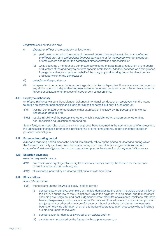*Employee* shall not include any:

- (i) *director or officer* of the *company*, unless when:
	- (a) performing acts within the scope of the usual duties of an employee (other than a *director or officer*) providing *professional financial services* to or for the *company* under a contract of employment and under the *company's* direct control and supervision; or
	- (b) while acting as a member of a committee duly elected or appointed by resolution of the board of directors of the *company* to perform specific *professional financial services*, as distinguished from general directorial acts, on behalf of the *company* and working under the direct control and supervision of the *company*; or
- (ii) *outside service provider*; or
- (iii) independent contractor or independent agents or broker, independent financial adviser, tied agent or any similar agent or independent representative remunerated on sales or commission basis, external lawyers or solicitors or employees of independent valuation firms.

#### 4.16 Employee dishonesty

 *employee dishonesty* means fraudulent or dishonest intentional conduct by an *employee* with the intent to obtain an improper personal financial gain for himself or herself, but only if such conduct

- 4.16.1 was not committed by or condoned, either expressly or implicitly, by the *company* or any of its *directors or officers*; and
- 4.16.2 results in liability of the *company* to others which is established by a judgment or other final, non-appealable adjudication or proceeding.

 Salary, fees, commission, bonuses, any similar employee benefit earned in the normal course of employment, including salary increases, promotions, profit sharing or other emoluments, do not constitute improper personal financial gain.

#### 4.17 Extended reporting period

 *extended reporting period* means the period immediately following the *period of insurance* during which the *insured* may notify us of any *claim* first made during such period for a *wrongful professional act*, or a *professional investigation* first occurring or arising prior to the expiration of the *period of insurance*.

#### 4.18 Extortion payments

 *extortion payments* means:

- 4.18.1 any monies and cryptographic or digital assets or currency paid by the *insured* for the purpose of terminating an extortion threat; and
- 4.18.2 all expenses incurred by an *insured* relating to an extortion threat.

#### 4.19 Financial loss

 *financial loss* means:

- 4.19.1 the total amount the *insured* is legally liable to pay for:
	- (i) compensatory, punitive, exemplary or multiple damages (to the extent insurable under the law of this Policy and the law of the jurisdiction in which the payment is to be made) and related costs (including pre-judgment and post-judgment interest, plaintiff's or claimant's legal fees, attorney's fees and expenses, court costs, accountant's costs and loss adjuster's costs) awarded pursuant to a judgment or other adjudication of a court or tribunal by whose jurisdiction the *insured* is bound, or following arbitration or other alternative dispute resolution processes whose findings are binding upon the *insured*;
	- (ii) compensation for damages awarded by an *official body*, or
	- (iii) a settlement negotiated by the *insured* with our prior consent; or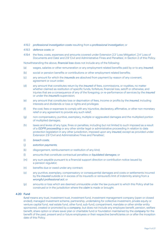#### 4.19.2 *professional investigation costs* resulting from a *professional investigation*; or

- 4.19.3 *defence costs*; or
- 4.19.4 the fees, costs, expenses and amounts covered under Extension 2.3 'Loss Mitigation', 2.4 'Loss of Documents and Data' and 2.9 'Civil and Administrative Fines and Penalties', in Section 2 of this Policy.

Notwithstanding the above, *financial loss* does not include any of the following:

- (a) wages, salaries or other remuneration or any employment related benefits paid by or to any *insured*;
- (b) social or pension benefits or contributions or other employment related benefits;
- (c) any amount for which the *insureds* are absolved from payment by reason of any covenant, agreement or court order;
- (d) any amount that constitutes return by the *insured* of fees, commissions, or royalties, no matter whether claimed as restitution of specific funds, forfeiture, financial loss, setoff or otherwise, and injuries that are a consequence of any of the foregoing; or re-performance of services by the *insured* or under the *insured's* supervision;
- (e) any amount that constitutes loss or deprivation of fees, income or profits by the *insured*, including interests and dividends or loss or rights and privileges
- (f) the cost, fees or expenses to comply with any injunctive, declaratory, affirmative, or other non-monetary relief or any agreement to provide any such relief;
- (g) non-compensatory, punitive, exemplary, multiple or aggravated damages and the multiplied portion of multiplied damages;
- (h) taxes and levies of any type, fines or penalties, including but not limited to such imposed as a result of a *GDPR proceeding* or any other similar legal or administrative proceeding in relation to data protection legislation in any other jurisdiction, imposed upon any *insured*, except as provided under Extension 2.9 'Civil and Administrative Fines and Penalties';
- (i) *breach costs*;
- (j) *extortion payments*;
- (k) disgorgement, reimbursement or restitution of any kind;
- (l) amounts that constitute contractual penalties or *liquidated damages*; or
- (m) any sum payable pursuant to a financial support direction or contribution notice issued by a pension regulator;
- (n) benefits due or owed under any contract;
- (o) any punitive, exemplary, compensatory or consequential damages and costs or settlements incurred by the *insured* outside or in excess of its insured's or reinsured's limit of indemnity arising from a *wrongful professional act*; or
- (p) amounts or loss which are deemed uninsurable under the law pursuant to which this Policy shall be construed or in the jurisdiction where the *claim* is made or brought.

#### 4.20 Fund

 *fund* means any trust, investment trust, investment fund, investment management company (open or closed ended), managed investment scheme, partnership, undertaking for collective investment, private equity or venture capital fund, real estate fund, other fund, sub-fund, compartment, mandate or other similar entity sponsored, created or promoted by a *company*, but does not include any employee benefit, pension, welfare benefit, share option or share saver plan or charitable fund or foundation maintained by the *company* for the benefit of the past, present and or future employees or their respective beneficiaries on or after the inception date of this Policy.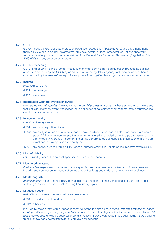#### 4.21 GDPR

 *GDPR* means the General Data Protection Regulation (Regulation (EU) 2016/679) and any amendment thereto. *GDPR* shall also include any state, provincial, territorial, local, or federal regulations enacted in furtherance of or pursuant to implementation of the General Data Protection Regulation (Regulation (EU) 2016/679) and any amendment thereto.

#### 4.22 GDPR proceeding

 *GDPR proceeding* means a formal investigation of or an administrative adjudication proceeding against an *insured* concerning the *GDPR* by an administrative or regulatory agency, including an appeal thereof, commenced by the *insured's* receipt of a subpoena, investigative demand, complaint or similar document.

#### 4.23 Insured

 *insured* means any:

- 4.23.1 *company*; or
- 4.23.2 *employee.*

#### 4.24 Interrelated Wrongful Professional Acts

 *interrelated wrongful professional acts* mean *wrongful professional acts* that have as a common nexus any fact, act, circumstance, event, transaction, cause or series of causally connected facts, acts, circumstances, events, transactions or causes.

#### 4.25 Investment entity

 *investment entity* means:

- 4.25.1 any not-for-profit entity; or
- 4.25.2 any entity in which one or more *funds* holds or held securities (convertible bond, debenture, share, stock, ADR or other equity security), whether registered and traded or not in a public market, or other debt or equity interest, or is performing or has performed due diligence in anticipation of making an investment of its capital in such entity; or
- 425.3 any special purpose vehicle (SPV), special purpose entity (SPE) or structured investment vehicle (SIV).

#### 4.26 Limit of Liability

 *limit of liability* means the amount specified as such in the *schedule*.

#### 4.27 Liquidated damages

 *liquidated damages* mean damages that are specified and/or agreed in a contract or written agreement, including compensation for breach of contract specifically agreed under a warranty or similar clause.

#### 4.28 Mental anguish

 *mental anguish* means mental injury, mental distress, emotional distress, emotional pain, and emotional suffering or shock, whether or not resulting from *bodily injury*.

#### 4.29 Mitigation costs

 *mitigation costs* mean the reasonable and necessary:

4.29.1 fees, direct costs and expenses; or

4.29.2 other loss,

 incurred by the *insured*, with our prior consent, following the first discovery of a *wrongful professional act* or *employee dishonesty* during the *period of insurance* in order to mitigate, minimise, prevent or avoid *financial loss* that would otherwise be covered under this Policy if a *claim* were to be made against the *insured* arising from such *wrongful professional act* or *employee dishonesty*.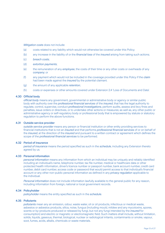*Mitigation costs* does not include:

- (a) costs related to any liability which would not otherwise be covered under this Policy;
- (b) any increase in the liability of or the *financial loss* of the *insured* arising from taking such actions;
- (c) *breach costs*;
- (d) *extortion payments*;
- (e) the remuneration of any *employee*, the costs of their time or any other costs or overheads of any *company*; or
- (f) any payment which would not be included in the coverage provided under this Policy if the *claim* had been made against the *insured* by the potential claimant.
- (g) the amount of any applicable *retention*;
- (h) costs or expenses or other amounts covered under Extension 2.4 'Loss of Documents and Data'.

#### 4.30 Official body

 *official body* means any government, governmental or administrative body or agency or similar public body with authority over the *professional financial services* of the *insured*, that has the legal authority to regulate, control, supervise, conduct *professional investigations*, perform audits, assess and levy fines and penalties, issue orders or directives, or to undertake other actions or measures; as well as, any other public or administrative agency or self-regulatory body or professional body that is empowered by statute or statutory regulation to perform the above functions.

# 4.31 Outside service provider

 *outside service provider* means any person or financial institution or other entity providing services to financial institutions that is not an *insured* and that performs *professional financial services* of or on behalf of the *insured*, at the direction of the *insured* and pursuant to a written contract or agreement which defines the scope of the *professional financial services* to be performed.

#### 4.32 Period of insurance

 *period of insurance* means the period specified as such in the *schedule*, including any Extension thereto agreed by us.

#### 4.33 Personal information

 *personal information* means any information from which an individual may be uniquely and reliably identified including an individual's name, telephone number, tax file number, medical or healthcare data or other protected health information, driver's licence number or passport number, bank account number, credit card number, debit card number, access code or password that would permit access to that individual's financial account or any other non-public personal information as defined in any *privacy regulation* applicable to the individual.

 *Personal information* does not include information lawfully available to the general public for any reason, including information from foreign, national or local government records.

#### 4.34 Policyholder

 *policyholder* means the entity specified as such in the *schedule*.

#### 4.35 Pollutants

 *pollutants* mean any air emission, odour, waste water, oil or oil products, infectious or medical waste, asbestos or asbestos products, silica, noise, fungus (including mould, mildew and any mycotoxins, spores, scents or by-products produced or released by fungi, but not any fungi intended by the *insured* for consumption) and electric or magnetic or electromagnetic field. Such matters shall include, without limitation, solids, liquids, gaseous, thermal, biological, nuclear or radiological irritants, contaminants or smoke, vapour, soot, fumes, acids, alkalis, chemicals or waste materials.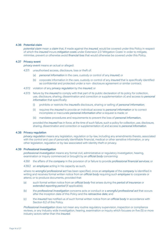#### 4.36 Potential claim

 *potential claim* mean a *claim* that, if made against the *insured*, would be covered under this Policy in respect of which the *insured* incurs *mitigation costs* under Extension 2.3 'Mitigation Costs' in order to mitigate, minimise, prevent or otherwise avoid *financial loss* that would otherwise be covered under this Policy.

#### 4.37 Privacy event

 *privacy event* means an actual or alleged:

- 4.37.1 unauthorised access, disclosure, loss or theft of:
	- (a) *personal information* in the care, custody or control of any *insured*; or
	- (b) corporate information in the care, custody or control of any *insured* that is specifically identified as confidential and protected under a non- disclosure agreement or similar contract;
- 4.37.2 violation of any *privacy regulation* by the *insured*; or
- 4.37.3 failure by the *insured* to comply with that part of its public declaration of its policy for collection, use, disclosure, sharing, dissemination and correction or supplementation of, and access to *personal information* that specifically:
	- (i) prohibits or restricts the *insured's* disclosure, sharing or selling of *personal information*;
	- (ii) requires the *insured* to provide an individual access to *personal information* or to correct incomplete or inaccurate *personal information* after a request is made; or
	- (iii) mandates procedures and requirements to prevent the loss of *personal information*,

 provided the *insured* has in force, at the time of such failure, such a policy for collection, use, disclosure, sharing, dissemination and correction or supplementation of, and access to *personal information*.

#### 4.38 Privacy regulation

 *privacy regulation* means any legislation, regulation or by-law, including any amendments thereto, associated with the control and use of personally identifiable financial, medical or other sensitive information, or any other legislation, regulation or by-law associated with identity theft or privacy.

#### 4.39 Professional investigation

 *professional investigation* means any formal civil, administrative or regulatory investigation, hearing, examination or inquiry commenced or brought by an *official body* concerning:

4.39.1 the affairs of the *company* in the provision of or failure to provide *professional financial services*; or

4.39.2 an *employee* acting in his capacity as such,

 where no *wrongful professional act* has been specified, once an *employee* of the *company* is identified in writing and receives formal written notice from an *official body* requiring such *employee* to cooperate or attend, or to produce documents, provided that:

- (a) such formal written notice from an *official body* first arises during the *period of insurance* or *extended reporting period* (if applicable);
- (b) the *professional investigation* concerns acts or conduct or a *wrongful professional act* that occurs after the inception date of this Policy and the *retroactive date*; and
- (c) the *insured* has notified us of such formal written notice from an *official body* in accordance with Section 6.2 of this Policy.

 *Professional investigation* does not mean any routine regulatory supervision, inspection or compliance reviews, or any industry wide investigation, hearing, examination or inquiry which focuses on five (5) or more industry actors rather than the *insured*.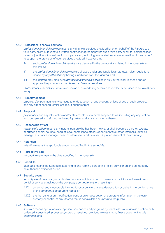#### 4.40 Professional financial services

 *professional financial services* means any financial services provided by or on behalf of the *insured* to a third party client pursuant to a written contract or agreement with such third party client for compensation, or in conjunction with services for compensation, including any related service or operation of the *insured* to support the provision of such services provided, however that:

- (i) such *professional financial services* are declared in the *proposal* and listed in the *schedule* to this Policy;
- (ii) the *professional financial services* are allowed under applicable laws, statutes, rules, regulations issued by any *official body* having jurisdiction over the *insured*; and
- (iii) the *insured* providing such *professional financial services* is duly authorised, licensed and/or approved to provide such *professional financial services*.

 *Professional financial services* do not include the rendering or failure to render tax services to an *investment entity*.

#### 4.41 Property damage

 *property damage* means any damage to or destruction of any property or loss of use of such property, and any direct consequential loss resulting there from.

#### 4.42 Proposal

 *proposal* means any information and/or statements or materials supplied to us, including any application form completed and signed by the *policyholder* and any attachments thereto.

#### 4.43 Responsible officer

 *responsible officer* means any natural person who has been, now is, or shall become a partner, *director or officer*, general counsel, head of legal, compliance officer, departmental director, internal auditor, risk manager, insurance manager, head of information and data security, or equivalent of the *company*.

# 4.44 Retention

 *retention* means the applicable amounts specified in the *schedule*.

#### 4.45 Retroactive date

 *retroactive date* means the date specified in the *schedule*.

#### 4.46 Schedule

 *schedule* means the Schedule attaching to and forming part of this Policy duly signed and stamped by an authorised officer of Zurich.

#### 4.47 Security event

 *security event* means any unauthorised access to, introduction of malware or malicious software into or denial of service attack upon the *company's computer system* resulting in:

- 4.47.1 an actual and measurable interruption, suspension, failure, degradation or delay in the performance of the *company's computer system*; or
- 4.47.2 the theft, alteration, modification, corruption or destruction of corporate information in the care, custody or control of any *insured* that is not available or known to the public.

# 4.48 Software

 *software* means operations and applications, codes and programs by which *electronic data* is electronically collected, transmitted, processed, stored or received, provided always that *software* does not include *electronic data*.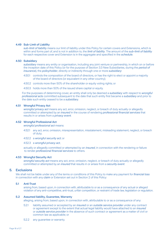#### 4.49 Sub-Limit of Liability

 *sub-limit of liability* means our limit of liability under this Policy for certain covers and Extensions, which is within and forms part of, and is not in addition to, the *limit of liability*. The amount of the *sub-limit of liability* for each respective cover and Extension is in the aggregate and specified in the *schedule*.

#### 4.50 Subsidiary

 *subsidiary* means any entity or organisation, including any joint venture or partnership, in which on or before the inception date of this Policy (or for the purpose of Section 3.3 New Subsidiaries, during the *period of insurance*), the *policyholder*, directly or indirectly through one or more *subsidiary*:

- 4.50.1 controls the composition of the board of directors, or has the right to elect or appoint a majority of the board of directors (or equivalent in any other country);
- 4.50.2 controls more than 50% of the shareholder or equity voting rights; or

4.50.3 holds more than 50% of the issued share capital or equity.

 For the purposes of determining cover, an entity shall only be deemed a *subsidiary* with respect to *wrongful professional acts* committed subsequent to the date that such entity first became a *subsidiary* and prior to the date such entity ceased to be a *subsidiary*.

#### 4.51 Wrongful Privacy Act

 *wrongful privacy act* means any act, error, omission, neglect, or breach of duty actually or allegedly committed or attempted by an *insured* in the course of rendering *professional financial services* that results in or arises from a *privacy event*.

#### 4.52 Wrongful Professional Act

 *wrongful professional act* means:

- 4.52.1 any act, error, omission, misrepresentation, misstatement, misleading statement, neglect, or breach of duty;
- 4.52.2 a *wrongful security act*; or
- 4.52.3 a *wrongful privacy act*,

 actually or allegedly committed or attempted by an *insured*, in connection with the rendering or failure to render *professional financial services* to others.

#### 4.53 Wrongful Security Act

 *wrongful security act* means any act, error, omission, neglect, or breach of duty actually or allegedly committed or attempted by an *insured* that results in or arises from a *security event*.

#### 5. Exclusions

We shall not be liable under any of the terms or conditions of this Policy to make any payment for *financial loss* in connection with any *claim* or Extension set out in Section 2 of this Policy:

#### 5.1 Anti-Trust

 arising from, based upon, in connection with, attributable to or as a consequence of any actual or alleged violation of any anti-competitive, anti-trust, unfair competition, or restraint of trade law, legislation or regulation.

#### 5.2 Assumed liability, Guarantee, Warranty

alleging, arising from, based upon, in connection with, attributable to or as a consequence of any:

- 5.2.1 liability assumed or accepted by an *insured* or an *outside service provider* under any contract or agreement except to the extent that actual legal liability would have attached to an *insured* or *outside service provider* in the absence of such contract or agreement as a matter of civil or common law as applicable; or
- 5.2.2 any guarantee or warranty.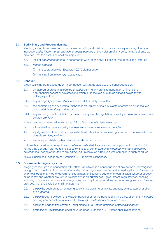# 5.3 Bodily injury and Property damage

 alleging, arising from, based upon, in connection with, attributable to or as a consequence of, directly or indirectly, *bodily injury*, *mental anguish*, *property damage* or the violation of any person's right of privacy; provided, that this exclusion shall not apply to

- 5.3.1 loss of *documents* or data, in accordance with Extension 2.4 'Loss of Documents and Data'; or
- 5.3.2 *mental anguish*:
	- (i) in accordance with Extension 2.5 'Defamation'; or
	- (ii) arising from a *wrongful privacy act*.

#### 5.4 Conduct

alleging, arising from, based upon, in connection with, attributable to or a consequence of:

- 5.4.1 an *insured* or an *outside service provider* gaining any profit, remuneration or financial or non-financial benefit or advantage to which such *insured* or *outside service provider* was not legally entitled:
- 5.4.2 any *wrongful professional act* which was deliberately committed;
- 5.4.3 the committing of any criminal, dishonest, fraudulent or malicious acts or omission by an *insured* or an *outside service provider*; or
- 5.4.4 any knowing or wilful violation or breach of any statute, regulation or law by an *insured* or an *outside service provider*,

where the conduct referred to in clauses 5.4.1 to 5.4.4 above is determined by:

- (a) a formal written admission by the *insured* or the *outside service provider*;
- (b) a judgment or other final, non-appealable adjudication or proceeding adverse to the *insured* or the *outside service provider*; or
- (c) evidence establishing that the conduct did in fact occur.

 Until such admission or determination, *defence costs* shall be advanced by us pursuant to Section 6.2. Further, the conduct referred to in clauses 5.4.1 to 5.4.4 committed by any *company* or *outside service provider* shall not be attributed to any *employee* unless such *employee* was complicit in such conduct.

This exclusion shall not apply to Extension 2.2 'Employee Dishonesty'.

#### 5.5 Governmental regulatory action

 alleging, based upon, in connection with, attributable to or as a consequence of any action or investigation brought by, in the right of, on behalf of or at the behest of, or instigated or maintained against an *insured* by an *official body* or any other government, regulatory or licensing authority or commission, whether directly or indirectly, and whether brought in its capacity as an *official body* government, regulatory or licensing authority or commission, or as a receiver, conservator, liquidator, securities holder or assignee of an *insured*, provided, that this exclusion shall not apply to:

- 5.5.1 a *claim* by such entity when acting solely in its own interests in its capacity as a customer or client of an *insured*;
- 5.5.2 a *claim* brought by such entity by, on behalf of or for the benefit of a third party client of any *insured* seeking compensation for a specified *wrongful professional act* of an *insured*;
- 5.5.3 *civil fines or penalties covered* under clause 4.20.4 of the definition of *financial loss*; or
- 5.5.4 *professional investigation costs* covered under Extension 2.1 'Professional Investigations'.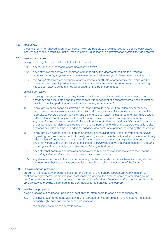#### 5.6 Insolvency

 alleging, arising from, based upon, in connection with, attributable to or as a consequence of the bankruptcy, insolvency, financial default, liquidation, receivership or liquidation of an *insured* or an *outside service provider*.

#### 5.7 Insured vs. Insured

brought or instigated by or on behalf of, or for the benefit of:

- 5.7.1 any *insured*, or successors or assigns of any *insured*;
- 5.7.2 any entity owned, controlled, operated or managed by the *insured* at the time the *wrongful professional act* giving rise to such *claim* was committed (or alleged to have been committed); or
- 5.7.3 the *policyholder's* parent company, or any subsidiary or affiliate or other entity that is operated or controlled by the *policyholder's* parent company at the time the *wrongful professional act* giving rise to such *claim* was committed (or alleged to have been committed),

unless such *claim*:

- (a) is brought by or on behalf of an *employee* solely in the capacity as a client or customer of the *company* and is instigated and maintained totally independent of, and totally without the solicitation, assistance, active participation or intervention of any other *insured*;
- (b) is brought by or on behalf an *insured*, other than a *fund*, for contribution, indemnity or recovery, if such *claim* directly results from another *claim* originating from an independent third party which is otherwise covered under this Policy and as long as such *claim* is instigated and maintained totally independent of, and totally without the solicitation, assistance, active participation or intervention by any other *insured*. Cover under this Policy shall be limited to that part of *financial loss* which consists of compensation for damages incurred by that third party and for which the *insured* is legally liable, and shall exclude any other or additional *financial loss*, costs or expenses incurred by the *insured*; or
- (c) is brought by a *fund* for contribution or indemnity, if such *claim* directly results from another *claim* originating from an independent third party, as long as such *claim* is instigated and maintained totally independent of, and totally without the solicitation, assistance, active participation or intervention by any other *insured*, and where failure to make such a *claim* would have otherwise resulted in the *fund* incurring a statutory liability or a subsequent *claim* by a third party;
- 5.7.4 any entity that controls, operates or manages or wholly or partly owns the *insured* at the time the *wrongful professional act* giving rise to such *claim* took place; or
- 5.7.5 any shareholder, bondholder or a holder of any similar corporate securities, benefit or obligation of the *insured* in their capacity as such, unless brought as a client or customer of the *insured*.

#### 5.8 Outside service provider

 brought or instigated by or on behalf of, or for the benefit of any *outside service provider* in relation to contractual agreements, indemnification, compensation, or disputes over the services provided by such *outside service provider* or with respect to the scope of *professional financial services* performed by such *outside service provider* as defined in the contractual agreement with the *insured*.

#### 5.9 Intellectual property

alleging, arising out of, based upon, in connection with, attributable to or as a consequence of:

- 5.9.1 the invalidity, infringement, violation, dilution, breach or misappropriation of any patent, intellectual property right, copyright, trade or service mark; or
- 5.9.2 the misappropriation of any trade secret.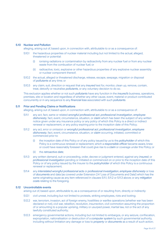#### 5.10 Nuclear and Pollution

alleging, arising out of, based upon, in connection with, attributable to or as a consequence of:

- 5.10.1 the hazardous properties of nuclear material including but not limited to the actual, alleged, threatened or potential:
	- (i) ionising radiations or contamination by radioactivity from any nuclear fuel or from any nuclear waste from the combustion of nuclear fuel; or
	- (ii) radioactive, toxic, explosive or other hazardous properties of any explosive nuclear assembly or nuclear component thereof;
- 5.10.2 the actual, alleged or threatened discharge, release, escape, seepage, migration or disposal of *pollutants* at any time; or
- 5.10.3 any claim, suit, direction or request that any *insured* test for, monitor, clean up, remove, contain, treat, detoxify or neutralise *pollutants*, or any voluntary decision to do so.

 This exclusion applies whether or not such *pollutants* have any function in the *insured's* business, operations, premises, site or location and regardless of whether any other cause, event, material or product contributed concurrently or in any sequence to any *financial loss* associated with such *pollutants*.

#### 5.11 Prior and Pending Claims or Notifications

alleging, arising out of, based upon, in connection with, attributable to or as a consequence of:

- 5.11.1 any act, fact, same or related *wrongful professional act*, *professional investigation*, *employee dishonesty*, fact, event, circumstance, situation, or *claim* which has been the subject of any written notice given under any insurance policy or any policy of which this Policy is a direct or indirect renewal or replacement, or any policy expiring prior to the inception date of this Policy;
- 5.11.2 any act, error or omission or *wrongful professional act*, *professional investigation*, *employee dishonesty*, fact, event, circumstance, situation, or *claim* occurring, initiated, committed or commenced prior to:
	- (i) the inception date of this Policy or of any policy issued by us to the *policyholder* of which this Policy is a continuous renewal or replacement, which a *responsible officer* became aware, knew or could have reasonably foreseen that could give rise to a *claim* or coverage under this Policy; or
	- (ii) the *retroactive date*;
- 5.11.3 any written demand, suit or proceeding, order, decree or judgment entered, against any *insured*, or *professional investigation* pending or initiated or commenced on or prior to the inception date of this Policy or of any policy issued by the Insurer to the *policyholder* of which this Policy is a continuous renewal or replacement;
- 5.11.4 any *interrelated wrongful professional acts* or *professional investigation*, *employee dishonesty* or loss of *documents* and data (as covered under Extension 2.4 'Loss of Documents and Data') which has the same originating cause as any item referenced in clauses 5.11.1, 5.11.2 or 5.11.3 above; or any *mitigation costs* relating to the foregoing.

#### 5.12 Uncontrollable events

arising out of, based upon, attributable to, as a consequence of or resulting from, directly or indirectly:

- 5.12.1 civil unrest, including but not limited to protests, striking employees, riots and looting;
- 5.12.2 war, terrorism, invasion, act of foreign enemy, hostilities or warlike operations (whether war has been declared or not), civil war, rebellion, revolution, insurrection, civil commotion assuming the proportion of or amounting to a popular uprising, military or usurped power, martial law, riot or the act of any lawfully constituted authority;
- 5.12.3 emergency governmental actions, including but not limited to embargos, or any seizure, confiscation, expropriation, nationalisation or destruction of a *computer system* by such governmental authority, including without limitation any damage or loss to *property* or *documents* as a result of such action;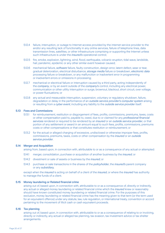- 5.12.4 failure, interruption, or outage to Internet access provided by the internet service provider to the and/or any resulting lack of functionality in any online services, failure of telephone lines, data transmission lines, satellites, or other infrastructure comprising or supporting the Internet unless such infrastructure is under the *insured's* operational control;
- 5.12.5 fire, smoke, explosion, lightning, wind, flood, earthquake, volcanic eruption, tidal wave, landslide, hail, pandemic, epidemic or any other similar event however caused;
- 5.12.6 mechanical failure, *software* failure, faulty construction, design error, latent defect, wear or tear, gradual deterioration, electrical disturbance, *storage media* failure or breakdown, *electronic data* processing failure or breakdown, or any malfunction or inadvertent error in programming or inadvertent errors or omissions in processing;
- 5.12.7 mechanical or electrical failure or interruption caused by a third party, acting independently of the *company*, or by an event outside of the *company's* control, including any electrical power, communication or other utility interruption or surge, brownout, blackout, short circuit, over voltage, or power fluctuations; or
- 5.12.8 any actual and measurable interruption, suspension, voluntary or regulatory shutdown, failure, degradation or delay in the performance of an *outside service provider's computer system* arising or resulting from a *cyber event*, including any liability to the *outside service provider* itself.

#### 5.13 Fees and Commissions

- 5.13.1 for reimbursement, restitution or disgorgement of fees, profits, commissions, premiums, taxes, costs or other compensation paid to, payable to, owed, due to or claimed for any *professional financial services* rendered or required to be rendered by an *insured* or an *outside service provider*, or that portion of any settlement or award in an amount equal to such fees, profits, commissions, premiums costs or other compensations or that constitutes restitution or reimbursement; or
- 5.13.2 for the actual or alleged charging of excessive, undisclosed or otherwise improper fees, profits, commissions, premiums, taxes, costs or other compensation by the *insured* or an *outside service provider*.

#### 5.14 Merger and Acquisition

arising from, based upon, in connection with, attributable to or as a consequence of any actual or attempted:

- 5.14.1 merger, consolidation, purchase or acquisition of another business by the *insured*; or
- 5.14.2 divestment or sale of assets or business by the *insured*; or
- 5.14.3 purchase or sale transactions in the shares of the *policyholder*, the *insured's* parent company or any *subsidiary,*

 except when the *insured* is acting on behalf of a client of the *insured*, or where the *insured* has authority to manage the funds of a client.

#### 5.15 Money laundering or Related financial crime

 arising out of, based upon, in connection with, attributable to or as a consequence of, directly or indirectly, any actual or alleged money laundering or related financial crime which the *insured* knew or reasonably should have known constituted money laundering or related financial crime. For the purposes of this exclusion, money laundering or related financial crime has the meaning given to that term (or the term used for an equivalent offence) under any statute, law, rule regulation, or international treaty, convention or accord pertaining to the movement of illicit cash or cash equivalent proceeds.

# 5.16 Tax planning

 arising out of, based upon, in connection with, attributable to or as a consequence of relating to or involving, directly or indirectly, any actual or alleged tax planning, tax evasion, tax investment advice or tax shelter arrangements.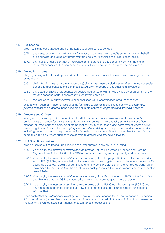#### 5.17 Business risk

alleging, arising out of, based upon, attributable to or as a consequence of:

- 5.17.1 any transaction or change in value of any account, where the *insured* is acting on its own behalf or as principal, including any proprietary trading loss, financial loss or a business loss; or
- 5.17.2 any liability under a contract of insurance or reinsurance to pay benefits indemnity due to an *insured's* capacity as the insurer or re-insurer of such contract of insurance or reinsurance.

#### 5.18 Diminution in value

 alleging, arising out of, based upon, attributable to, as a consequence of or in any way involving, directly or indirectly:

- 5.18.1 diminution in value (or failure to appreciate) of any investments including *securities*, money, currencies, options, futures transactions, commodities, *property*, property or any other item of value, or
- 5.18.2 any actual or alleged representation, advice, guarantee or warranty provided by or on behalf of the *insured* as to the performance of any such investments, or
- 5.18.3 the loss of value, surrender value or cancellation value of any leased product or service,

 except when such diminution or loss of value (or failure to appreciate) is caused solely by a *wrongful professional act* of an *insured* in the execution or implementation of *professional financial services*.

#### 5.19 Directors and Officers

 arising out of, based upon, in connection with, attributable to or as a consequence of the *insureds* performance or non-performance of their functions and duties in their capacity as a *director or officer*, manager, trustee, partner, employee or member of any entity other than a *company*, except where a *claim* is made against an *insured* for a *wrongful professional act* arising from the provision of directorial services, including but not limited to the provision of individuals or corporate entities to act as directors to third party companies, but only where such services constitute *professional financial services*.

#### 5.20 USA Specific exclusions

alleging, arising out of, based upon, relating to or attributable to any actual or alleged:

- 5.20.1 violation, by the *insured* or *outside service provider*, of the Racketeer Influenced and Corrupt Organisations Act 18 USC Section 1961 as amended, and regulations promulgated there under;
- 5.20.2 violation, by the *insured* or *outside service provider*, of the Employee Retirement Income Security Act of 1974 (ERISA), as amended, and any regulations promulgated there under where the *insured* is acting as a trustee, fiduciary or administrator of any pension, profit sharing or employee benefit plan maintained by the *insured* for the benefit of its past, present and future *employees* or their respective beneficiaries;
- 5.20.3 violation, by the *insured* or *outside service provider*, of the Securities Act of 1933, or the Securities and Exchange Act of 1934 as amended, and regulations promulgated there under; or
- 5.20.4 violation, by the *insured* or *outside service provider*, of the Fair Credit Reporting Act (FCRA) and any amendment of or addition to such law including the Fair and Accurate Credit Transactions Act (FACTA),

 when such *claim* or *professional investigation* is brought or commenced (or for the purposes of Extension 2.3 'Loss Mititation', would likely be commenced) in whole or in part within the jurisdiction of or pursuant to the laws of, the United States of America or its territories or possessions.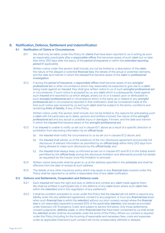# 6. Notification, Defence, Settlement and Indemnification

#### 6.1 Notification of Claims or Circumstances

 6.1.1 We shall only be liable under this Policy for *claims* that have been reported to us in writing as soon as reasonably practicable after a *responsible officer* first becomes aware of such *claim* but no later than thirty (30) days after the expiry of the *period of insurance* or within the *extended reporting period* (if applicable).

 Written notice under this section shall include, but not be limited to, a description of the *claim*, the nature of the alleged or potential *financial loss*, the details of the actual or potential claimants, and the date and manner in which the *insured* first became aware of the *claim* or *professional investigation*.

 6.1.2 If during the *period of insurance,* a *responsible officer* shall become aware of any *wrongful professional act* or other circumstance which may reasonably be expected to give rise to a *claim* being made against an *insured*, they shall give written notice to us of such *wrongful professional act* or circumstance. If such notice is accepted by us, any *claim* which is subsequently made against such *insured* and reported to us which alleges, arises out of, or is based upon or attributable to such *wrongful professional act* or circumstance which is the same as or related to any *wrongful professional act* or circumstance reported in that notification, shall be considered made at the time such notice was received by us and such *claim* shall be subject to the terms, conditions and remaining *limits of liability*, if any, of this Policy.

 Written notice under this section shall include, but not be limited to, the reasons for anticipating such a *claim* with full particulars as to dates, persons and entities involved, the nature of the *wrongful professional act* and any actual or possible injury or damages, if known; and the date and manner in which the *insured* first became aware of the *wrongful professional act*.

- 6.1.3 If an *insured* is unable to notify us set out in clause 6.1.1. above as a result of a specific direction or prohibition from disclosing information by an *official body*:
	- (a) the *insured* shall notify the circumstance to us as set out in clauses 6.1.2 above; and
	- (b) the *insured* shall advise us of the existence of the non-disclosure agreement and provide full disclosure of relevant information as permitted by an *official body* within thirty (30) days from being allowed to make such disclosure by the *official body*; and
	- (c) the *insured* shall always keep us informed as set out in clauses 6.1.1 and 6.1.2 to the fullest extent permitted by the *official body* during this disclosure limitation and afterwards provide full details as requested by the Insurer once this limitation is removed.
- 6.1.4 Written notice hereunder shall be given to us at the address specified in the *schedule* and shall be effective from the date of receipt at such address.
- 6.1.5 The details of any other insurance policy which may apply to any *financial loss* covered under this Policy shall be reported to us within a reasonable time of any *claim* notification.

#### 6.2 Defence and Settlements, Cooperation and Defence costs

- 6.2.1 Each *insured* will have the right and duty to defend and contest any *claim* made against them. We shall be entitled to participate fully in the defence of any *claim* (even where such *claim* falls within the *retention*) and in the negotiation of any settlement.
- 6.2.2 It shall be condition precedent to cover under this Policy that the *insured* will not admit or assume any liability, enter into any settlement agreement, consent to any judgment, or incur any *financial loss* (even when such *financial loss* is within the *retention*) without our prior consent, except where the *financial loss* is not reasonably expected to exceed 50% of the applicable *retention*, and except as provided under Extension 2.6 'Emergency Costs' and subject to section 6.4 below. Only those settlements, consent judgments, *defence costs*, or other *financial loss* that have been consented by us shall erode the *retention* and/or shall be recoverable under the terms of this Policy. Where our consent is required under this Policy (including for the incurring of reasonable and necessary fees, costs and expenses under an applicable Extension) such consent will not be unreasonably withheld or delayed.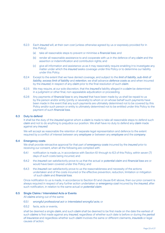- 6.2.3 Each *insured* will, at their own cost (unless otherwise agreed by us or expressly provided for in this Policy):
	- (a) take all reasonable steps to prevent or minimise a *financial loss*; and
	- (b) render all reasonable assistance to and cooperate with us in the defence of any *claim* and the assertion or indemnification and contribution rights; and
	- (c) give all information and assistance us as it may reasonably require enabling it to investigate any matter under which the *insured* seeks coverage under this Policy or to determine our liability under this Policy.
- 6.2.4 Except to the extent that we have denied coverage, and subject to the *limit of liability*, *sub-limit of liability*, *excess limit of liability* and *retention*, we shall advance *defence costs* as and when incurred by the *insured*, in respect of any *claim* prior to the final resolution of such *claim*.
- 6.2.5 We may require, at our sole discretion, that the *insured*'*s* liability alleged in a *claim* be determined in a judgment or other final, non-appealable adjudication or proceeding.
- 6.2.6 Any payments of *financial loss* to any *insured* that have been made by us shall be repaid to us by the person and/or entity (jointly or severally) to whom or on whose behalf such payments have been made in the event that any such payments are ultimately determined not to be covered by this Policy and/or such person or entity is ultimately determined not to be entitled under this Policy to the payment of such *financial loss*.

#### 6.3 Duty to defend

 It shall be the duty of the *insured* against whom a *claim* is made to take all reasonable steps to defend such *claim* and not to do anything to prejudice our position. We shall have no duty to defend any *claim* made against any *insured*.

We will accept as reasonable the retention of separate legal representation and defence to the extent required by a conflict of interest between any *employee* or between any *employee* and the *company*.

#### 6.4 Emergency costs

 We shall provide retroactive approval for that part of *emergency costs* incurred by the *insured* prior to receiving our consent, when all the following are complied with:

- 6.4.1 notification is made us, in accordance with Section 6.1 through to 6.3 of this Policy, within seven (7) days of such costs being incurred; and
- 6.4.2 the *insured* can satisfactorily prove to us that the actual or *potential claim* and *financial loss* are or would have been covered under this Policy; and
- 6.4.3 the *insured* can satisfactorily prove to us the reasonableness and necessity of the actions undertaken and of the costs incurred or the effective prevention, reduction, limitation or mitigation of such *claim* and *financial loss*.

 Once notification to us is made, in accordance to Section 6.1 and clause 6.4.1 above, then our prior consent is always required in respect of any further action undertaken or *emergency cost* incurred by the *insured*, after such notification, in relation to the same actual or *potential claim*.

#### 6.5 Single Claims / Interrelated Acts or Events

All *claims* arising out of the same:

- 6.5.1 *wrongful professional act* or *interrelated wrongful acts*; or
- 6.5.2 facts, acts or events,

 shall be deemed a single *claim*, and such *claim* shall be deemed to be first made on the date the earliest of such *claims* is first made against any *insured*, regardless of whether such date is before or during the *period of insurance* and regardless whether such *claim* involves the same or different claimants, *insureds* or legal causes of action.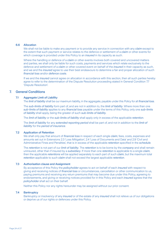#### 6.6 Allocation

 We shall not be liable to make any payment or to provide any service in connection with any *claim* except to the extent that such payment or service relates to the defence or settlement of a *claim* or other events for which coverage is provided under this Policy to an *insured* in its capacity as such.

 Where the handling or defence of a *claim* or other events involves both covered and uncovered matters and parties, we shall only be liable for such costs, payments and services which relate exclusively to the defence and settlement of a *claim* or other covered event on behalf of the *insured* in their capacity as such, and we and the *insured* agree to use their best endeavours to determine a fair and proper allocation of such *financial loss* and/or *defence costs*.

 If we and the *insured* cannot agree on allocation in accordance with this section, then all such parties hereby agree to refer to the determination of the Dispute Resolution proceeding stated in General Condition 7.7 'Dispute Resolution'.

# 7. General Conditions

#### 7.1 Aggregate Limit of Liability

The *limit of liability* shall be our maximum liability, in the aggregate, payable under this Policy for all *financial loss*.

 The *sub-limits of liability* form part of, and are not in addition to, the *limit of liability*. Where more than one *sub-limits of liability* applies to any *financial loss* payable under the terms of this Policy, only one *sub-limits of liability* shall apply, being the greater of such *sub-limits of liability*.

The *limit of liability* or the *sub-limits of liability* shall apply only in excess of the applicable *retention*.

 The *limit of liability* for any *extended reporting period* shall be part of, and not in addition to the *limit of liability* for the *period of insurance*.

#### 7.2 Application of Retention

 We shall only pay that amount of *financial loss* in respect of each single *claim*, fees, costs, expenses and amounts set out in Extensions 2.3 'Loss Mitigation', 2.4 'Loss of Documents and Data' and 2.9 'Civil and Administrative Fines and Penalties', that is in excess of the applicable *retention* specified in the *schedule*.

 The *retention* is not part of our *limit of liability*. The *retention* is to be borne by the *company* and shall remain uninsured, other than if insured by a *subsidiary*. If more than one *retention* is applicable to a single *claim*, then the applicable *retentions* will be applied separately to each part of such *claim*, but the maximum total *retention* applicable to such *claim* shall not exceed the largest applicable *retention*.

#### 7.3 Authorisation clause and Assignment

 By acceptance of this Policy the *policyholder* agrees to act on behalf of each *insured* with respect to giving and receiving notices of *financial loss* or circumstances, cancellation or other communication to us, paying premiums and receiving any return premiums that may become due under this Policy, agreeing to endorsements, and giving or receiving notices provided for in this Policy and each *insured* agrees that the *policyholder* shall act on their behalf.

Neither this Policy nor any rights hereunder may be assigned without our prior consent.

#### 7.4 Bankruptcy

 Bankruptcy or insolvency of any *insured* or of the estate of any *insured* shall not relieve us of our obligations or deprive us of our rights or defences under this Policy.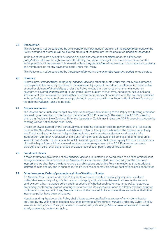#### 7.5 Cancellation

 This Policy may not be cancelled by us except for non-payment of premium. If the *policyholder* cancels the Policy, a refund of premium will be allowed pro rata of the premium for the unexpired *period of insurance*.

 In the event there are any notified, reserved or paid circumstances or *claims* under this Policy, the *policyholder* will have the right to cancel this Policy, but without the right to a return of premium, and the entire premium will be deemed fully earned, unless the *policyholder* withdraws such circumstances or *claims* and reimburses us for any payments made under this Policy.

This Policy may not be cancelled by the *policyholder* during the *extended reporting period*, once elected.

#### 7.6 Currency

 All premiums, *limit of liability*, *retentions*, *financial loss* and other amounts under this Policy are expressed and payable in the currency specified in the *schedule*. If judgment is rendered, settlement is denominated or another element of *financial loss* under this Policy is stated in a currency other than this currency, payment of covered *financial loss* due under this Policy (subject to the terms, conditions, exclusions and limitations of this Policy) will be made either in such other currency at our option, or in the currency specified in the *schedule*, at the rate of exchange published in accordance with the Reserve Bank of New Zealand at the date the *financial loss* is to be paid.

#### 7.7 Dispute resolution

 The *insured* and Zurich shall submit any dispute arising out of or relating to this Policy to a binding arbitration proceeding as described in this Section (hereinafter 'ADR Proceeding'). The seat of the ADR Proceeding shall be in Auckland, New Zealand. Either the *insureds* or Zurich may initiate the ADR Proceeding process by sending written notice to the other party.

 Unless otherwise agreed by the parties, any such binding arbitration shall be governed by the Resolution Rules of the New Zealand International Arbitration Centre. In any such arbitration, the *insured* collectively and Zurich shall each select an independent arbitrator, and those two arbitrators shall select a third independent arbitrator. A decision by a majority of the three arbitrators shall be final and binding upon all *insureds* and Zurich. The parties to the ADR Proceeding process shall share equally the fees and expenses of the third-appointed arbitrator as well as other common expenses of the ADR Proceeding process, although each party shall pay the fees and expenses of such party's appointed arbitrator.

#### 7.8 Fraudulent claims

 If the *insured* shall give notice of any *financial loss* or circumstance knowing same to be false or fraudulent, as regards amount or otherwise, such *financial loss* shall be excluded from the Policy for the fraudulent *insured* and we shall have the right to avoid our obligations under this Policy in relation to that fraudulent *insured* or in its entirety and in such case, the Policy shall become void and all notifications shall be forfeited.

#### 7.9 Other insurance, Order of payments and Non-Stacking of Limits

 If a *financial loss* covered under this Policy is also covered, wholly or partially, by any other valid and collectable insurance policy, this Policy shall only apply and pay *financial loss* in excess of the amount paid by such other insurance policy, and irrespective of whether such other insurance policy is stated to be primary, contributory, excess, contingent or otherwise. As excess insurance this Policy shall not apply or contribute to the payment of any *financial loss* until the insured limits and retentions amounts of that other insurance policy have been exhausted.

 Notwithstanding the above, this Policy shall always apply specifically as excess of any indemnification provided by any valid and collectable insurance coverage afforded to by *insured* under any Cyber Liability Insurance, Security and Privacy or similar insurance policy, as to any *claim* or *financial loss* also covered, wholly or partially, under such policy.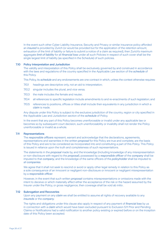In the event such other Cyber Liability Insurance, Security and Privacy or similar insurance policy afforded an *insured* is provided by Zurich (or would be provided but for the application of the retention amount, exhaustion of the limit of liability or failure to submit a notice of a claim as required), then Zurich's maximum aggregate *limit of liability* for all *financial loss* under all such Policies in respect of such cover shall be the single largest limit of liability (as specified in the Schedule) of such policies.

#### 7.10 Policy Interpretation and Jurisdiction

 The validity and interpretation of this Policy shall be exclusively governed by and construed in accordance with the laws and regulations of the country specified in the Applicable Law section of the *schedule* of this Policy.

This Policy, its *schedule* and any endorsements are one contract in which, unless the context otherwise requires:

- 7.10.1 headings are descriptive only, not an aid to interpretation;
- 7.10.2 singular includes the plural, and vice versa;
- 7.10.3 the male includes the female and neuter;
- 7.10.4 all references to specific legislation include amendments to and re-enactments of such legislation; and
- 7.10.5 references to positions, offices or titles shall include their equivalents in any jurisdiction in which a *claim* is made.

 Any dispute under this Policy is subject to the exclusive jurisdiction of the country, region or city specified in the Applicable Law and Jurisdiction section of the *schedule* of Policy.

 In the event that any part of this Policy becomes unenforceable or invalid under any applicable law or becomes so by subsequent court decision, such unenforceability or invalidity shall not render the Policy unenforceable or invalid as a whole.

#### 7.11 Representations

 The *responsible officers* represent, warrant and acknowledge that the declarations, agreements, representations and warranties in the written *proposal* for this Policy are true and complete, are the basis of this Policy and are to be considered as incorporated into and constituting a part of this Policy. This Policy is issued in reliance upon the truth and completeness of such representations.

 The statements in the *proposal* made by, and the knowledge (including knowledge of any misrepresentation or non-disclosure with regard to the *proposal*), possessed by a *responsible officer* of the *company* shall be imputed to that *company*, and the knowledge of the same officers of the *policyholder* shall be imputed to all *companies*.

We agree that it shall not seek to rescind or avoid or apply other legal remedy in relation to this Policy as a sole consequence of an innocent or negligent non-disclosure or innocent or negligent misrepresentation by a *responsible officer*.

 However, in the event that such written *proposal* contains misrepresentations or omissions made with the intent to deceive or which materially affect either the acceptance of the risk or the hazard assumed by the Insurer under the Policy, or gross negligence, then coverage shall be void ab initio .

#### 7.12 Subrogation and Recoveries

 Upon any payment on any *claim* we shall be entitled to assume all rights of recovery available to any *insureds* or the *company*.

 The rights and obligations under this clause also apply in respect of any payment of *financial loss* by us in connection with a *claim* which would have been excluded pursuant to Exclusion 5.11 Prior and Pending Claims or Notifications had a valid notification to another policy existing or expired before or on the inception date of this Policy been accepted.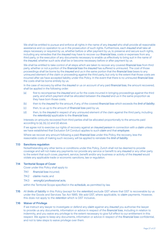We shall be entitled to pursue and enforce all rights in the name of any *insured* who shall provide all reasonable assistance and co-operation to us in the prosecution of such rights. Furthermore, each *insured* shall take all steps necessary or required by us, whether before or after payment by us, to preserve and secure such rights, including any remedies that the *insured* may have to recover our *financial loss*, costs or expenses from any third party, or the execution of any documents necessary to enable us effectively to bring suit in the name of the *insured*, whether such acts shall be or become necessary before or after payment by us.

 We shall be entitled to take control of all steps which are taken to recover any covered *financial loss* from third party, whether or not a portion of the *financial loss* the *insured* has suffered is uninsured. The cost of those proceedings shall be borne by the *insured* and us in the same portion that the *financial loss* bears to any uninsured element of the claim or proceeding against the third party, but only to the extent that those costs are incurred after we have accepted liability under this Policy. In the event that there is no uninsured *financial loss* the costs shall be borne entirely by us.

 In the case of recovery by either the *insured* or us on account of any paid *financial loss*, the amount recovered, shall be applied in the following order:

- (a) first to recompense the *insured* and us for the costs incurred in bringing proceedings against the third party, and which payment shall be allocated between the *insured* and us in the same proportion as they have born those costs;
- (b) then to the *insured* for the amount, if any, of the covered *financial loss* which exceeds the *limit of liability*;
- (c) then, to us up to the amount of *financial loss* paid by us;
- (d) then, to the *insured* in respect of any uninsured element of the claim against the third party, including the *retention(s)* applicable to the *financial loss*.

 Interests on amounts recovered from third parties shall be allocated proportionally to the amounts paid according to (a), (b), (c) and (d) above.

 If we agree not to exercise our rights of recovery against an *insured person* in connection with a *claim* unless we have established that Exclusion 5.4 Conduct applies to such *claim* and that *employee*.

 Where we recover any amount following a paid *financial loss* under this Policy, the recovery, less the reasonable costs of making such recovery, will be applied to reinstate the *limit of liability*.

#### 7.13 Sanctions regulation

 Notwithstanding any other terms or conditions under this Policy, Zurich shall not be deemed to provide coverage and will not make any payments nor provide any service or benefit to any *insured* or any other party to the extent that such cover, payment, service, benefit and/or any business or activity of the *insured* would violate any applicable trade or economic sanctions, law or regulation.

#### 7.14 Territorial Scope of Cover

Cover under this Policy shall apply to:

- 7.14.1 *financial loss* incurred;
- 7.14.2 *claims* made; and
- 7.14.3 *wrongful professional acts*,

within the Territorial Scope specified in the *schedule*, as permitted by law.

7.15 All *limits of liability* in this Policy (except for the *retention*) exclude GST where that GST is recoverable by us under the Goods and Services Tax Act 1985. We add GST, where applicable, to *claim* payments. However, this does not apply to the *retention* which is GST inclusive..

#### 7.16 Waiver of Privilege

 If we instruct any lawyer to investigate or defend any *claim* against any *insured* you authorise the lawyer to provide us any documents, information or advice in respect of the *financial loss*, including in relation to indemnity, and you waive any privilege to the extent necessary to give full effect to our entitlement in this respect. We agree to keep any documents, information or advice in respect of the *financial loss* confidential, and not to take steps to waive privilege over them.